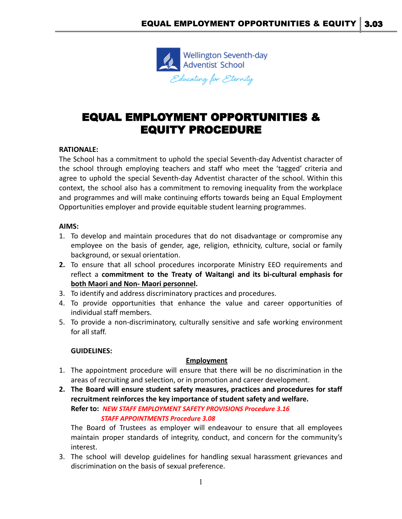

# EQUAL EMPLOYMENT OPPORTUNITIES & EQUITY PROCEDURE

## **RATIONALE:**

The School has a commitment to uphold the special Seventh-day Adventist character of the school through employing teachers and staff who meet the 'tagged' criteria and agree to uphold the special Seventh-day Adventist character of the school. Within this context, the school also has a commitment to removing inequality from the workplace and programmes and will make continuing efforts towards being an Equal Employment Opportunities employer and provide equitable student learning programmes.

#### **AIMS:**

- 1. To develop and maintain procedures that do not disadvantage or compromise any employee on the basis of gender, age, religion, ethnicity, culture, social or family background, or sexual orientation.
- **2.** To ensure that all school procedures incorporate Ministry EEO requirements and reflect a **commitment to the Treaty of Waitangi and its bi-cultural emphasis for both Maori and Non- Maori personnel.**
- 3. To identify and address discriminatory practices and procedures.
- 4. To provide opportunities that enhance the value and career opportunities of individual staff members.
- 5. To provide a non-discriminatory, culturally sensitive and safe working environment for all staff.

#### **GUIDELINES:**

#### **Employment**

- 1. The appointment procedure will ensure that there will be no discrimination in the areas of recruiting and selection, or in promotion and career development.
- **2. The Board will ensure student safety measures, practices and procedures for staff recruitment reinforces the key importance of student safety and welfare. Refer to:** *NEW STAFF EMPLOYMENT SAFETY PROVISIONS Procedure 3.16 STAFF APPOINTMENTS Procedure 3.08*

The Board of Trustees as employer will endeavour to ensure that all employees maintain proper standards of integrity, conduct, and concern for the community's interest.

3. The school will develop guidelines for handling sexual harassment grievances and discrimination on the basis of sexual preference.